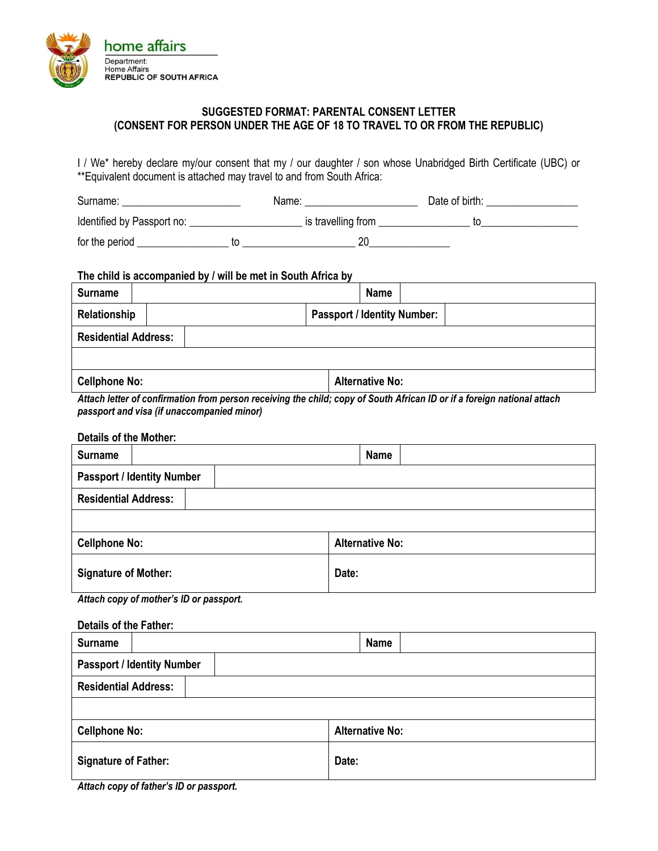

## **SUGGESTED FORMAT: PARENTAL CONSENT LETTER (CONSENT FOR PERSON UNDER THE AGE OF 18 TO TRAVEL TO OR FROM THE REPUBLIC)**

I / We\* hereby declare my/our consent that my / our daughter / son whose Unabridged Birth Certificate (UBC) or \*\*Equivalent document is attached may travel to and from South Africa:

| Surname:                   | Name:              | Date of birth: |  |
|----------------------------|--------------------|----------------|--|
| Identified by Passport no: | is travelling from |                |  |
| for the period             | 20                 |                |  |

#### **The child is accompanied by / will be met in South Africa by**

| <b>Surname</b>              |  | <b>Name</b>            |                                    |  |
|-----------------------------|--|------------------------|------------------------------------|--|
| Relationship                |  |                        | <b>Passport / Identity Number:</b> |  |
| <b>Residential Address:</b> |  |                        |                                    |  |
|                             |  |                        |                                    |  |
| <b>Cellphone No:</b>        |  | <b>Alternative No:</b> |                                    |  |

*Attach letter of confirmation from person receiving the child; copy of South African ID or if a foreign national attach passport and visa (if unaccompanied minor)*

### **Details of the Mother:**

| <b>Surname</b>              |                                   |  | <b>Name</b>            |  |
|-----------------------------|-----------------------------------|--|------------------------|--|
|                             | <b>Passport / Identity Number</b> |  |                        |  |
| <b>Residential Address:</b> |                                   |  |                        |  |
|                             |                                   |  |                        |  |
| <b>Cellphone No:</b>        |                                   |  | <b>Alternative No:</b> |  |
| <b>Signature of Mother:</b> |                                   |  | Date:                  |  |

*Attach copy of mother's ID or passport.*

#### **Details of the Father:**

| <b>Surname</b>              |                                   |                        | <b>Name</b> |  |
|-----------------------------|-----------------------------------|------------------------|-------------|--|
|                             | <b>Passport / Identity Number</b> |                        |             |  |
| <b>Residential Address:</b> |                                   |                        |             |  |
|                             |                                   |                        |             |  |
| <b>Cellphone No:</b>        |                                   | <b>Alternative No:</b> |             |  |
| <b>Signature of Father:</b> |                                   | Date:                  |             |  |

*Attach copy of father's ID or passport.*